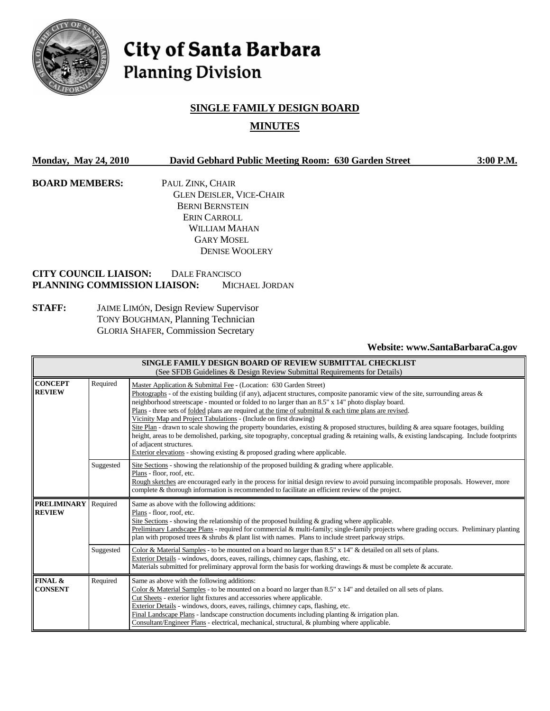

# City of Santa Barbara **Planning Division**

## **SINGLE FAMILY DESIGN BOARD MINUTES**

| <b>Monday, May 24, 2010</b> |                                                              |                                                                                                                           | David Gebhard Public Meeting Room: 630 Garden Street     |                                 | $3:00$ P.M. |
|-----------------------------|--------------------------------------------------------------|---------------------------------------------------------------------------------------------------------------------------|----------------------------------------------------------|---------------------------------|-------------|
| <b>BOARD MEMBERS:</b>       |                                                              | PAUL ZINK, CHAIR                                                                                                          |                                                          |                                 |             |
|                             |                                                              |                                                                                                                           | <b>GLEN DEISLER, VICE-CHAIR</b>                          |                                 |             |
|                             |                                                              |                                                                                                                           | <b>BERNI BERNSTEIN</b>                                   |                                 |             |
|                             |                                                              |                                                                                                                           | ERIN CARROLL                                             |                                 |             |
|                             |                                                              |                                                                                                                           | WILLIAM MAHAN                                            |                                 |             |
|                             |                                                              |                                                                                                                           | <b>GARY MOSEL</b>                                        |                                 |             |
|                             |                                                              |                                                                                                                           | <b>DENISE WOOLERY</b>                                    |                                 |             |
|                             | <b>CITY COUNCIL LIAISON:</b><br>PLANNING COMMISSION LIAISON: | DALE FRANCISCO                                                                                                            | <b>MICHAEL JORDAN</b>                                    |                                 |             |
| <b>STAFF:</b>               |                                                              | JAIME LIMÓN, Design Review Supervisor<br>TONY BOUGHMAN, Planning Technician<br><b>GLORIA SHAFER, Commission Secretary</b> |                                                          |                                 |             |
|                             |                                                              |                                                                                                                           |                                                          | Website: www.SantaBarbaraCa.gov |             |
|                             |                                                              |                                                                                                                           | SINGLE FAMILY DESIGN BOARD OF REVIEW SUBMITTAL CHECKLIST |                                 |             |

| SINGLE FAMIL I <i>D</i> ESKEN BOAKD OF KEVIEW SOBMITTAL CHECKLIST<br>(See SFDB Guidelines & Design Review Submittal Requirements for Details)                                                                                                                                                                                                                                                                                                                                                                    |                                                                                                                                                                                                                                                                                                                                                                                                                                                 |                                                                                                                                                                                                                                                                                                                                                                                                                                                                                                                                          |  |
|------------------------------------------------------------------------------------------------------------------------------------------------------------------------------------------------------------------------------------------------------------------------------------------------------------------------------------------------------------------------------------------------------------------------------------------------------------------------------------------------------------------|-------------------------------------------------------------------------------------------------------------------------------------------------------------------------------------------------------------------------------------------------------------------------------------------------------------------------------------------------------------------------------------------------------------------------------------------------|------------------------------------------------------------------------------------------------------------------------------------------------------------------------------------------------------------------------------------------------------------------------------------------------------------------------------------------------------------------------------------------------------------------------------------------------------------------------------------------------------------------------------------------|--|
| Required<br><b>CONCEPT</b><br>Master Application & Submittal Fee - (Location: 630 Garden Street)<br><b>REVIEW</b><br>neighborhood streetscape - mounted or folded to no larger than an 8.5" x 14" photo display board.<br>Plans - three sets of folded plans are required at the time of submittal & each time plans are revised.<br>Vicinity Map and Project Tabulations - (Include on first drawing)<br>of adjacent structures.<br>Exterior elevations - showing existing & proposed grading where applicable. |                                                                                                                                                                                                                                                                                                                                                                                                                                                 | Photographs - of the existing building (if any), adjacent structures, composite panoramic view of the site, surrounding areas $\&$<br>Site Plan - drawn to scale showing the property boundaries, existing & proposed structures, building & area square footages, building<br>height, areas to be demolished, parking, site topography, conceptual grading & retaining walls, & existing landscaping. Include footprints                                                                                                                |  |
|                                                                                                                                                                                                                                                                                                                                                                                                                                                                                                                  | Suggested                                                                                                                                                                                                                                                                                                                                                                                                                                       | Site Sections - showing the relationship of the proposed building $\&$ grading where applicable.<br>Plans - floor, roof, etc.<br>Rough sketches are encouraged early in the process for initial design review to avoid pursuing incompatible proposals. However, more<br>complete & thorough information is recommended to facilitate an efficient review of the project.                                                                                                                                                                |  |
| <b>PRELIMINARY</b><br><b>REVIEW</b>                                                                                                                                                                                                                                                                                                                                                                                                                                                                              | Required<br>Same as above with the following additions:<br>Plans - floor, roof, etc.<br>Site Sections - showing the relationship of the proposed building $\&$ grading where applicable.<br>Preliminary Landscape Plans - required for commercial & multi-family; single-family projects where grading occurs. Preliminary planting<br>plan with proposed trees $\&$ shrubs $\&$ plant list with names. Plans to include street parkway strips. |                                                                                                                                                                                                                                                                                                                                                                                                                                                                                                                                          |  |
|                                                                                                                                                                                                                                                                                                                                                                                                                                                                                                                  | Suggested                                                                                                                                                                                                                                                                                                                                                                                                                                       | Color & Material Samples - to be mounted on a board no larger than 8.5" x 14" & detailed on all sets of plans.<br>Exterior Details - windows, doors, eaves, railings, chimney caps, flashing, etc.<br>Materials submitted for preliminary approval form the basis for working drawings $\&$ must be complete $\&$ accurate.                                                                                                                                                                                                              |  |
| FINAL &<br><b>CONSENT</b>                                                                                                                                                                                                                                                                                                                                                                                                                                                                                        | Required                                                                                                                                                                                                                                                                                                                                                                                                                                        | Same as above with the following additions:<br>Color & Material Samples - to be mounted on a board no larger than $8.5" \times 14"$ and detailed on all sets of plans.<br>Cut Sheets - exterior light fixtures and accessories where applicable.<br>Exterior Details - windows, doors, eaves, railings, chimney caps, flashing, etc.<br>Final Landscape Plans - landscape construction documents including planting $&$ irrigation plan.<br>Consultant/Engineer Plans - electrical, mechanical, structural, & plumbing where applicable. |  |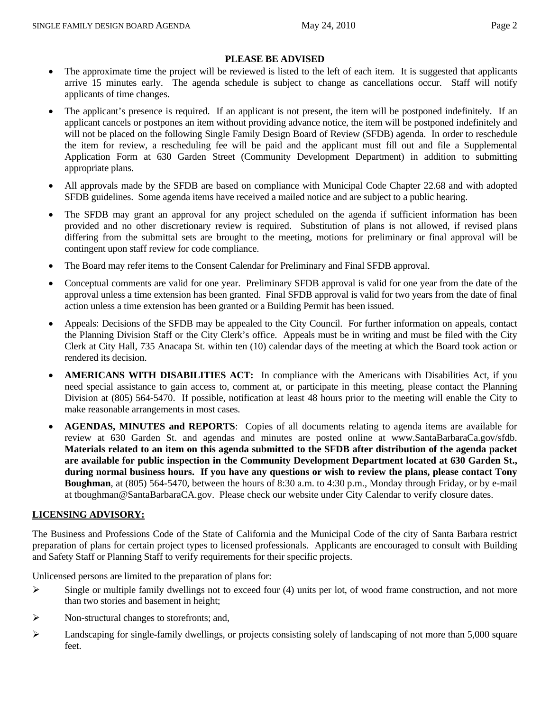### **PLEASE BE ADVISED**

- The approximate time the project will be reviewed is listed to the left of each item. It is suggested that applicants arrive 15 minutes early. The agenda schedule is subject to change as cancellations occur. Staff will notify applicants of time changes.
- The applicant's presence is required. If an applicant is not present, the item will be postponed indefinitely. If an applicant cancels or postpones an item without providing advance notice, the item will be postponed indefinitely and will not be placed on the following Single Family Design Board of Review (SFDB) agenda. In order to reschedule the item for review, a rescheduling fee will be paid and the applicant must fill out and file a Supplemental Application Form at 630 Garden Street (Community Development Department) in addition to submitting appropriate plans.
- All approvals made by the SFDB are based on compliance with Municipal Code Chapter 22.68 and with adopted SFDB guidelines. Some agenda items have received a mailed notice and are subject to a public hearing.
- The SFDB may grant an approval for any project scheduled on the agenda if sufficient information has been provided and no other discretionary review is required. Substitution of plans is not allowed, if revised plans differing from the submittal sets are brought to the meeting, motions for preliminary or final approval will be contingent upon staff review for code compliance.
- The Board may refer items to the Consent Calendar for Preliminary and Final SFDB approval.
- Conceptual comments are valid for one year. Preliminary SFDB approval is valid for one year from the date of the approval unless a time extension has been granted. Final SFDB approval is valid for two years from the date of final action unless a time extension has been granted or a Building Permit has been issued.
- Appeals: Decisions of the SFDB may be appealed to the City Council. For further information on appeals, contact the Planning Division Staff or the City Clerk's office. Appeals must be in writing and must be filed with the City Clerk at City Hall, 735 Anacapa St. within ten (10) calendar days of the meeting at which the Board took action or rendered its decision.
- **AMERICANS WITH DISABILITIES ACT:** In compliance with the Americans with Disabilities Act, if you need special assistance to gain access to, comment at, or participate in this meeting, please contact the Planning Division at (805) 564-5470. If possible, notification at least 48 hours prior to the meeting will enable the City to make reasonable arrangements in most cases.
- **AGENDAS, MINUTES and REPORTS**: Copies of all documents relating to agenda items are available for review at 630 Garden St. and agendas and minutes are posted online at www.SantaBarbaraCa.gov/sfdb. **Materials related to an item on this agenda submitted to the SFDB after distribution of the agenda packet are available for public inspection in the Community Development Department located at 630 Garden St., during normal business hours. If you have any questions or wish to review the plans, please contact Tony Boughman**, at (805) 564-5470, between the hours of 8:30 a.m. to 4:30 p.m., Monday through Friday, or by e-mail at tboughman@SantaBarbaraCA.gov. Please check our website under City Calendar to verify closure dates.

#### **LICENSING ADVISORY:**

The Business and Professions Code of the State of California and the Municipal Code of the city of Santa Barbara restrict preparation of plans for certain project types to licensed professionals. Applicants are encouraged to consult with Building and Safety Staff or Planning Staff to verify requirements for their specific projects.

Unlicensed persons are limited to the preparation of plans for:

- $\triangleright$  Single or multiple family dwellings not to exceed four (4) units per lot, of wood frame construction, and not more than two stories and basement in height;
- $\triangleright$  Non-structural changes to storefronts; and,
- $\triangleright$  Landscaping for single-family dwellings, or projects consisting solely of landscaping of not more than 5,000 square feet.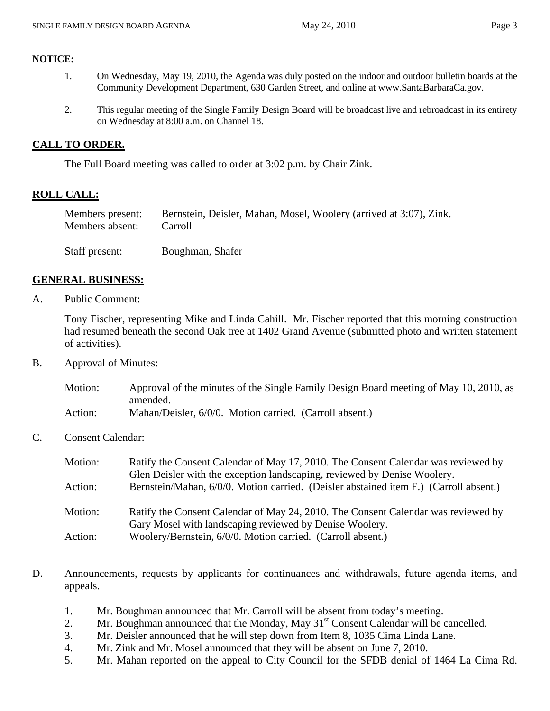- 1. On Wednesday, May 19, 2010, the Agenda was duly posted on the indoor and outdoor bulletin boards at the Community Development Department, 630 Garden Street, and online at www.SantaBarbaraCa.gov.
- 2. This regular meeting of the Single Family Design Board will be broadcast live and rebroadcast in its entirety on Wednesday at 8:00 a.m. on Channel 18.

### **CALL TO ORDER.**

The Full Board meeting was called to order at 3:02 p.m. by Chair Zink.

### **ROLL CALL:**

| Members present: | Bernstein, Deisler, Mahan, Mosel, Woolery (arrived at 3:07), Zink. |
|------------------|--------------------------------------------------------------------|
| Members absent:  | Carroll                                                            |
| Staff present:   | Boughman, Shafer                                                   |

### **GENERAL BUSINESS:**

A. Public Comment:

Tony Fischer, representing Mike and Linda Cahill. Mr. Fischer reported that this morning construction had resumed beneath the second Oak tree at 1402 Grand Avenue (submitted photo and written statement of activities).

B. Approval of Minutes:

| Motion: | Approval of the minutes of the Single Family Design Board meeting of May 10, 2010, as |
|---------|---------------------------------------------------------------------------------------|
|         | amended.                                                                              |
| Action: | Mahan/Deisler, 6/0/0. Motion carried. (Carroll absent.)                               |

C. Consent Calendar:

| Motion: | Ratify the Consent Calendar of May 17, 2010. The Consent Calendar was reviewed by     |
|---------|---------------------------------------------------------------------------------------|
|         | Glen Deisler with the exception landscaping, reviewed by Denise Woolery.              |
| Action: | Bernstein/Mahan, 6/0/0. Motion carried. (Deisler abstained item F.) (Carroll absent.) |
| Motion: | Ratify the Consent Calendar of May 24, 2010. The Consent Calendar was reviewed by     |
|         | Gary Mosel with landscaping reviewed by Denise Woolery.                               |
| Action: | Woolery/Bernstein, 6/0/0. Motion carried. (Carroll absent.)                           |

- D. Announcements, requests by applicants for continuances and withdrawals, future agenda items, and appeals.
	- 1. Mr. Boughman announced that Mr. Carroll will be absent from today's meeting.
	- 2. Mr. Boughman announced that the Monday, May  $31<sup>st</sup>$  Consent Calendar will be cancelled.
	- 3. Mr. Deisler announced that he will step down from Item 8, 1035 Cima Linda Lane.
	- 4. Mr. Zink and Mr. Mosel announced that they will be absent on June 7, 2010.
	- 5. Mr. Mahan reported on the appeal to City Council for the SFDB denial of 1464 La Cima Rd.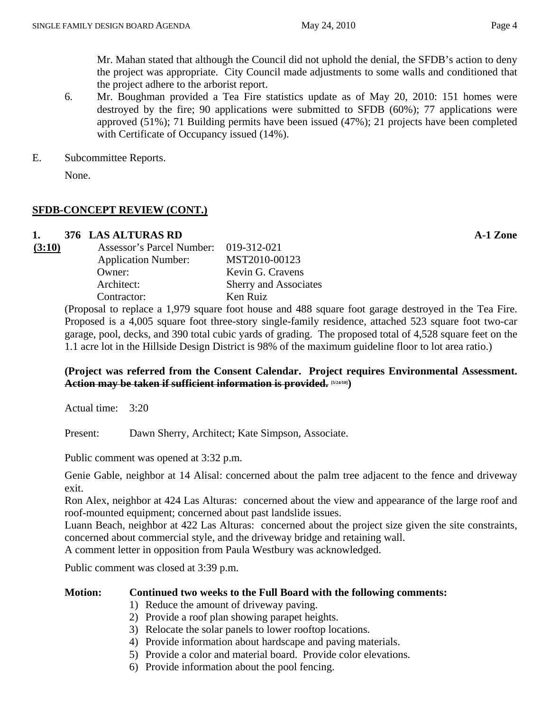6. Mr. Boughman provided a Tea Fire statistics update as of May 20, 2010: 151 homes were destroyed by the fire; 90 applications were submitted to SFDB (60%); 77 applications were approved (51%); 71 Building permits have been issued (47%); 21 projects have been completed with Certificate of Occupancy issued  $(14%)$ .

E. Subcommittee Reports.

None.

### **SFDB-CONCEPT REVIEW (CONT.)**

### **1. 376 LAS ALTURAS RD A-1 Zone**

| (3:10) | Assessor's Parcel Number: 019-312-021 |                              |
|--------|---------------------------------------|------------------------------|
|        | <b>Application Number:</b>            | MST2010-00123                |
|        | Owner:                                | Kevin G. Cravens             |
|        | Architect:                            | <b>Sherry and Associates</b> |
|        | Contractor:                           | Ken Ruiz                     |
|        | $\sim$ $\sim$ $\sim$ $\sim$           |                              |

(Proposal to replace a 1,979 square foot house and 488 square foot garage destroyed in the Tea Fire. Proposed is a 4,005 square foot three-story single-family residence, attached 523 square foot two-car garage, pool, decks, and 390 total cubic yards of grading. The proposed total of 4,528 square feet on the 1.1 acre lot in the Hillside Design District is 98% of the maximum guideline floor to lot area ratio.)

### **(Project was referred from the Consent Calendar. Project requires Environmental Assessment. Action may be taken if sufficient information is provided. [5/24/10])**

Actual time: 3:20

Present: Dawn Sherry, Architect; Kate Simpson, Associate.

Public comment was opened at 3:32 p.m.

Genie Gable, neighbor at 14 Alisal: concerned about the palm tree adjacent to the fence and driveway exit.

Ron Alex, neighbor at 424 Las Alturas: concerned about the view and appearance of the large roof and roof-mounted equipment; concerned about past landslide issues.

Luann Beach, neighbor at 422 Las Alturas: concerned about the project size given the site constraints, concerned about commercial style, and the driveway bridge and retaining wall.

A comment letter in opposition from Paula Westbury was acknowledged.

Public comment was closed at 3:39 p.m.

### **Motion: Continued two weeks to the Full Board with the following comments:**

- 1) Reduce the amount of driveway paving.
- 2) Provide a roof plan showing parapet heights.
- 3) Relocate the solar panels to lower rooftop locations.
- 4) Provide information about hardscape and paving materials.
- 5) Provide a color and material board. Provide color elevations.
- 6) Provide information about the pool fencing.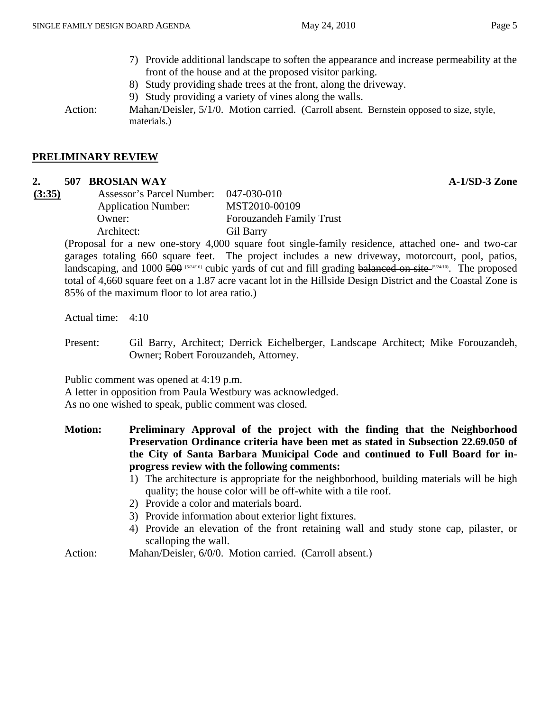- 7) Provide additional landscape to soften the appearance and increase permeability at the front of the house and at the proposed visitor parking.
- 8) Study providing shade trees at the front, along the driveway.
- 9) Study providing a variety of vines along the walls.

Action: Mahan/Deisler, 5/1/0. Motion carried. (Carroll absent. Bernstein opposed to size, style, materials.)

#### **PRELIMINARY REVIEW**

### **2. 507 BROSIAN WAY A-1/SD-3 Zone**

| (3:35) | , |  |
|--------|---|--|
|        |   |  |
|        |   |  |

| (3:35) | Assessor's Parcel Number:  | $047 - 030 - 010$               |
|--------|----------------------------|---------------------------------|
|        | <b>Application Number:</b> | MST2010-00109                   |
|        | Owner:                     | <b>Forouzandeh Family Trust</b> |
|        | Architect:                 | Gil Barry                       |

(Proposal for a new one-story 4,000 square foot single-family residence, attached one- and two-car garages totaling 660 square feet. The project includes a new driveway, motorcourt, pool, patios, landscaping, and 1000 500 [5/24/10] cubic yards of cut and fill grading balanced on site (5/24/10). The proposed total of 4,660 square feet on a 1.87 acre vacant lot in the Hillside Design District and the Coastal Zone is 85% of the maximum floor to lot area ratio.)

Actual time: 4:10

Present: Gil Barry, Architect; Derrick Eichelberger, Landscape Architect; Mike Forouzandeh, Owner; Robert Forouzandeh, Attorney.

Public comment was opened at 4:19 p.m.

A letter in opposition from Paula Westbury was acknowledged.

As no one wished to speak, public comment was closed.

- **Motion: Preliminary Approval of the project with the finding that the Neighborhood Preservation Ordinance criteria have been met as stated in Subsection 22.69.050 of the City of Santa Barbara Municipal Code and continued to Full Board for inprogress review with the following comments:** 
	- 1) The architecture is appropriate for the neighborhood, building materials will be high quality; the house color will be off-white with a tile roof.
	- 2) Provide a color and materials board.
	- 3) Provide information about exterior light fixtures.
	- 4) Provide an elevation of the front retaining wall and study stone cap, pilaster, or scalloping the wall.
- Action: Mahan/Deisler, 6/0/0. Motion carried. (Carroll absent.)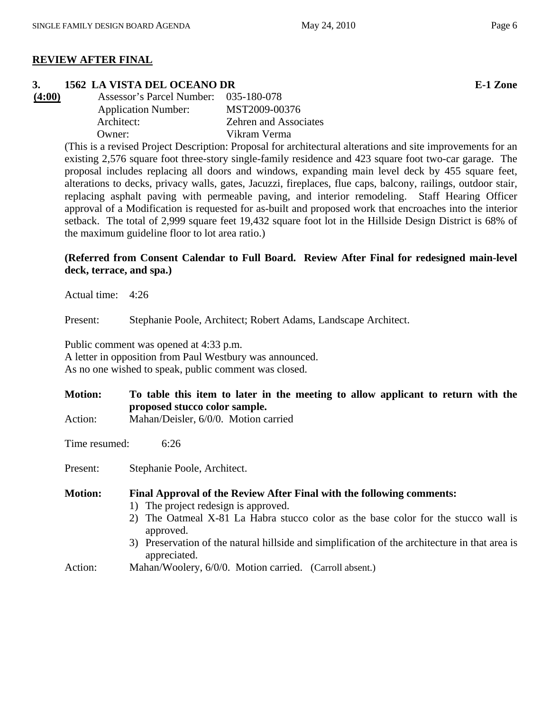### **REVIEW AFTER FINAL**

### **3. 1562 LA VISTA DEL OCEANO DR E-1 Zone**

| Assessor's Parcel Number: 035-180-078 |                              |
|---------------------------------------|------------------------------|
| <b>Application Number:</b>            | MST2009-00376                |
| Architect:                            | <b>Zehren and Associates</b> |
| Owner:                                | Vikram Verma                 |
|                                       |                              |

(This is a revised Project Description: Proposal for architectural alterations and site improvements for an existing 2,576 square foot three-story single-family residence and 423 square foot two-car garage. The proposal includes replacing all doors and windows, expanding main level deck by 455 square feet, alterations to decks, privacy walls, gates, Jacuzzi, fireplaces, flue caps, balcony, railings, outdoor stair, replacing asphalt paving with permeable paving, and interior remodeling. Staff Hearing Officer approval of a Modification is requested for as-built and proposed work that encroaches into the interior setback. The total of 2,999 square feet 19,432 square foot lot in the Hillside Design District is 68% of the maximum guideline floor to lot area ratio.)

### **(Referred from Consent Calendar to Full Board. Review After Final for redesigned main-level deck, terrace, and spa.)**

Actual time: 4:26

Present: Stephanie Poole, Architect; Robert Adams, Landscape Architect.

Public comment was opened at 4:33 p.m.

A letter in opposition from Paul Westbury was announced. As no one wished to speak, public comment was closed.

- **Motion: To table this item to later in the meeting to allow applicant to return with the proposed stucco color sample.**
- Action: Mahan/Deisler, 6/0/0. Motion carried

Time resumed: 6:26

Present: Stephanie Poole, Architect.

**Motion: Final Approval of the Review After Final with the following comments:** 

- 1) The project redesign is approved.
- 2) The Oatmeal X-81 La Habra stucco color as the base color for the stucco wall is approved.
- 3) Preservation of the natural hillside and simplification of the architecture in that area is appreciated.
- Action: Mahan/Woolery, 6/0/0. Motion carried. (Carroll absent.)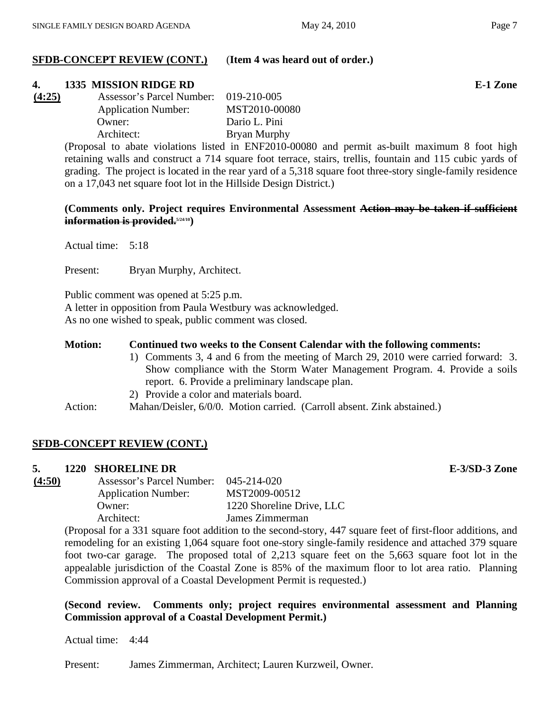### **SFDB-CONCEPT REVIEW (CONT.)** (**Item 4 was heard out of order.)**

### **4. 1335 MISSION RIDGE RD E-1 Zone**

|                            | 019-210-005               |
|----------------------------|---------------------------|
| <b>Application Number:</b> | MST2010-00080             |
| Owner:                     | Dario L. Pini             |
| Architect:                 | Bryan Murphy              |
|                            | Assessor's Parcel Number: |

(Proposal to abate violations listed in ENF2010-00080 and permit as-built maximum 8 foot high retaining walls and construct a 714 square foot terrace, stairs, trellis, fountain and 115 cubic yards of grading. The project is located in the rear yard of a 5,318 square foot three-story single-family residence on a 17,043 net square foot lot in the Hillside Design District.)

### **(Comments only. Project requires Environmental Assessment Action may be taken if sufficient information is provided.**<sup>5/24/10</sup>)

Actual time: 5:18

Present: Bryan Murphy, Architect.

Public comment was opened at 5:25 p.m.

A letter in opposition from Paula Westbury was acknowledged.

As no one wished to speak, public comment was closed.

### **Motion: Continued two weeks to the Consent Calendar with the following comments:**

- 1) Comments 3, 4 and 6 from the meeting of March 29, 2010 were carried forward: 3. Show compliance with the Storm Water Management Program. 4. Provide a soils report. 6. Provide a preliminary landscape plan.
- 2) Provide a color and materials board.
- Action: Mahan/Deisler, 6/0/0. Motion carried. (Carroll absent. Zink abstained.)

### **SFDB-CONCEPT REVIEW (CONT.)**

### **5. 1220 SHORELINE DR E-3/SD-3 Zone**

| Assessor's Parcel Number:  | 045-214-020               |
|----------------------------|---------------------------|
| <b>Application Number:</b> | MST2009-00512             |
| Owner:                     | 1220 Shoreline Drive, LLC |
| Architect:                 | James Zimmerman           |
|                            |                           |

(Proposal for a 331 square foot addition to the second-story, 447 square feet of first-floor additions, and remodeling for an existing 1,064 square foot one-story single-family residence and attached 379 square foot two-car garage. The proposed total of 2,213 square feet on the 5,663 square foot lot in the appealable jurisdiction of the Coastal Zone is 85% of the maximum floor to lot area ratio. Planning Commission approval of a Coastal Development Permit is requested.)

### **(Second review. Comments only; project requires environmental assessment and Planning Commission approval of a Coastal Development Permit.)**

Actual time: 4:44

Present: James Zimmerman, Architect; Lauren Kurzweil, Owner.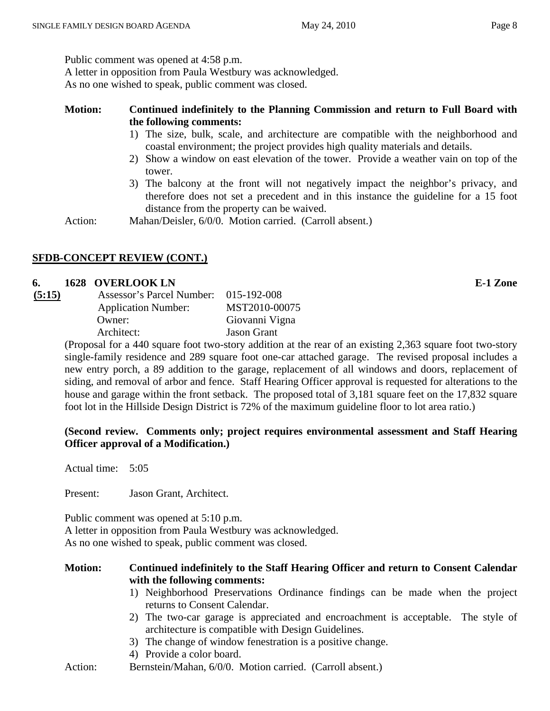Public comment was opened at 4:58 p.m.

A letter in opposition from Paula Westbury was acknowledged.

As no one wished to speak, public comment was closed.

### **Motion: Continued indefinitely to the Planning Commission and return to Full Board with the following comments:**

- 1) The size, bulk, scale, and architecture are compatible with the neighborhood and coastal environment; the project provides high quality materials and details.
- 2) Show a window on east elevation of the tower. Provide a weather vain on top of the tower.
- 3) The balcony at the front will not negatively impact the neighbor's privacy, and therefore does not set a precedent and in this instance the guideline for a 15 foot distance from the property can be waived.

Action: Mahan/Deisler, 6/0/0. Motion carried. (Carroll absent.)

### **SFDB-CONCEPT REVIEW (CONT.)**

### **6. 1628 OVERLOOK LN E-1 Zone**

| (5:15) | Assessor's Parcel Number:  | 015-192-008        |
|--------|----------------------------|--------------------|
|        | <b>Application Number:</b> | MST2010-00075      |
|        | Owner:                     | Giovanni Vigna     |
|        | Architect:                 | <b>Jason Grant</b> |
|        |                            |                    |

(Proposal for a 440 square foot two-story addition at the rear of an existing 2,363 square foot two-story single-family residence and 289 square foot one-car attached garage. The revised proposal includes a new entry porch, a 89 addition to the garage, replacement of all windows and doors, replacement of siding, and removal of arbor and fence. Staff Hearing Officer approval is requested for alterations to the house and garage within the front setback. The proposed total of 3,181 square feet on the 17,832 square foot lot in the Hillside Design District is 72% of the maximum guideline floor to lot area ratio.)

### **(Second review. Comments only; project requires environmental assessment and Staff Hearing Officer approval of a Modification.)**

Actual time: 5:05

Present: Jason Grant, Architect.

Public comment was opened at 5:10 p.m.

A letter in opposition from Paula Westbury was acknowledged.

As no one wished to speak, public comment was closed.

### **Motion: Continued indefinitely to the Staff Hearing Officer and return to Consent Calendar with the following comments:**

- 1) Neighborhood Preservations Ordinance findings can be made when the project returns to Consent Calendar.
- 2) The two-car garage is appreciated and encroachment is acceptable. The style of architecture is compatible with Design Guidelines.
- 3) The change of window fenestration is a positive change.
- 4) Provide a color board.
- Action: Bernstein/Mahan, 6/0/0. Motion carried. (Carroll absent.)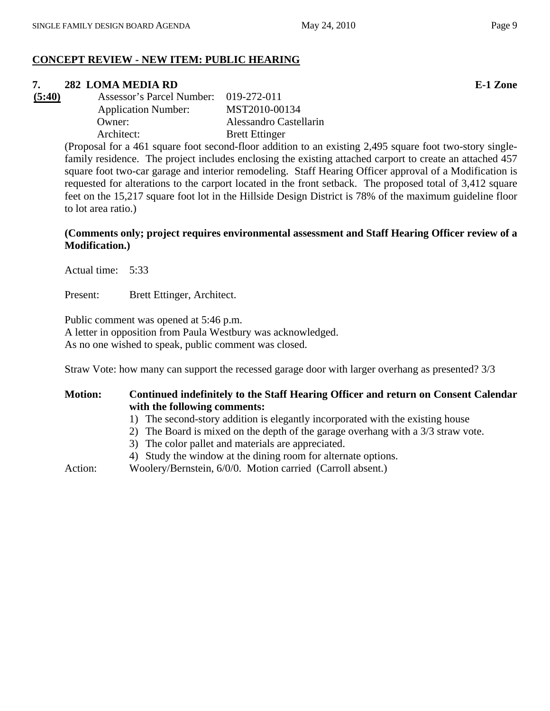### **CONCEPT REVIEW - NEW ITEM: PUBLIC HEARING**

### **7. 282 LOMA MEDIA RD E-1 Zone**

| (5:40) | Assessor's Parcel Number: 019-272-011 |                        |
|--------|---------------------------------------|------------------------|
|        | <b>Application Number:</b>            | MST2010-00134          |
|        | Owner:                                | Alessandro Castellarin |
|        | Architect:                            | <b>Brett Ettinger</b>  |

(Proposal for a 461 square foot second-floor addition to an existing 2,495 square foot two-story singlefamily residence. The project includes enclosing the existing attached carport to create an attached 457 square foot two-car garage and interior remodeling. Staff Hearing Officer approval of a Modification is requested for alterations to the carport located in the front setback. The proposed total of 3,412 square feet on the 15,217 square foot lot in the Hillside Design District is 78% of the maximum guideline floor to lot area ratio.)

### **(Comments only; project requires environmental assessment and Staff Hearing Officer review of a Modification.)**

Actual time: 5:33

Present: Brett Ettinger, Architect.

Public comment was opened at 5:46 p.m. A letter in opposition from Paula Westbury was acknowledged. As no one wished to speak, public comment was closed.

Straw Vote: how many can support the recessed garage door with larger overhang as presented? 3/3

### **Motion: Continued indefinitely to the Staff Hearing Officer and return on Consent Calendar with the following comments:**

- 1) The second-story addition is elegantly incorporated with the existing house
- 2) The Board is mixed on the depth of the garage overhang with a 3/3 straw vote.
- 3) The color pallet and materials are appreciated.
- 4) Study the window at the dining room for alternate options.

Action: Woolery/Bernstein, 6/0/0. Motion carried (Carroll absent.)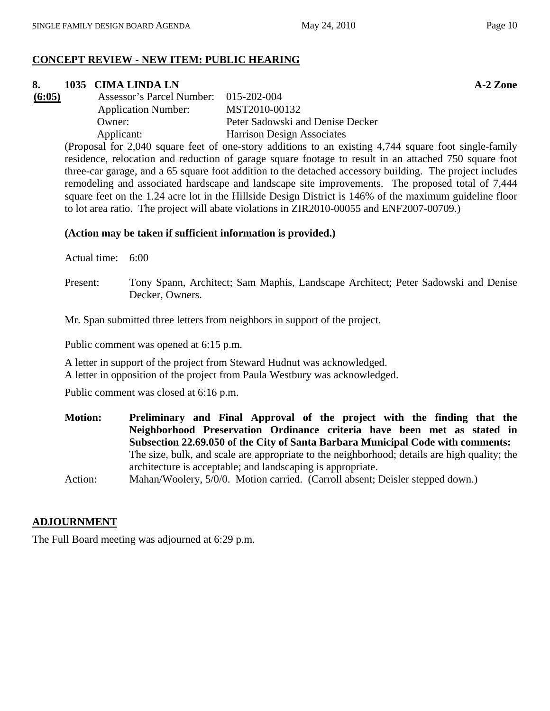### **CONCEPT REVIEW - NEW ITEM: PUBLIC HEARING**

### **8. 1035 CIMA LINDA LN** A-2 Zone

| (6:05) | Assessor's Parcel Number: 015-202-004 |                                   |
|--------|---------------------------------------|-----------------------------------|
|        | <b>Application Number:</b>            | MST2010-00132                     |
|        | Owner:                                | Peter Sadowski and Denise Decker  |
|        | Applicant:                            | <b>Harrison Design Associates</b> |

(Proposal for 2,040 square feet of one-story additions to an existing 4,744 square foot single-family residence, relocation and reduction of garage square footage to result in an attached 750 square foot three-car garage, and a 65 square foot addition to the detached accessory building. The project includes remodeling and associated hardscape and landscape site improvements. The proposed total of 7,444 square feet on the 1.24 acre lot in the Hillside Design District is 146% of the maximum guideline floor to lot area ratio. The project will abate violations in ZIR2010-00055 and ENF2007-00709.)

#### **(Action may be taken if sufficient information is provided.)**

Actual time: 6:00

Present: Tony Spann, Architect; Sam Maphis, Landscape Architect; Peter Sadowski and Denise Decker, Owners.

Mr. Span submitted three letters from neighbors in support of the project.

Public comment was opened at 6:15 p.m.

A letter in support of the project from Steward Hudnut was acknowledged. A letter in opposition of the project from Paula Westbury was acknowledged.

Public comment was closed at 6:16 p.m.

**Motion: Preliminary and Final Approval of the project with the finding that the Neighborhood Preservation Ordinance criteria have been met as stated in Subsection 22.69.050 of the City of Santa Barbara Municipal Code with comments:**  The size, bulk, and scale are appropriate to the neighborhood; details are high quality; the architecture is acceptable; and landscaping is appropriate.

Action: Mahan/Woolery, 5/0/0. Motion carried. (Carroll absent; Deisler stepped down.)

#### **ADJOURNMENT**

The Full Board meeting was adjourned at 6:29 p.m.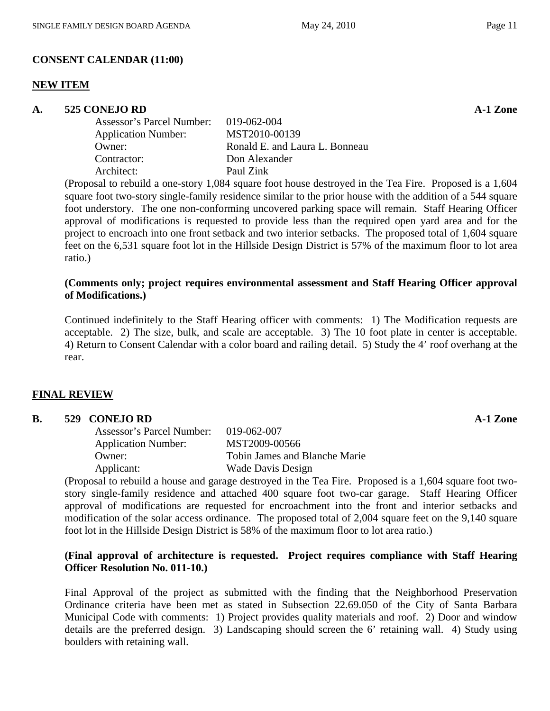### **CONSENT CALENDAR (11:00)**

### **NEW ITEM**

### **A. 525 CONEJO RD A-1 Zone**

| Assessor's Parcel Number: 019-062-004 |                                |
|---------------------------------------|--------------------------------|
| <b>Application Number:</b>            | MST2010-00139                  |
| Owner:                                | Ronald E. and Laura L. Bonneau |
| Contractor:                           | Don Alexander                  |
| Architect:                            | Paul Zink                      |
|                                       |                                |

(Proposal to rebuild a one-story 1,084 square foot house destroyed in the Tea Fire. Proposed is a 1,604 square foot two-story single-family residence similar to the prior house with the addition of a 544 square foot understory. The one non-conforming uncovered parking space will remain. Staff Hearing Officer approval of modifications is requested to provide less than the required open yard area and for the project to encroach into one front setback and two interior setbacks. The proposed total of 1,604 square feet on the 6,531 square foot lot in the Hillside Design District is 57% of the maximum floor to lot area ratio.)

### **(Comments only; project requires environmental assessment and Staff Hearing Officer approval of Modifications.)**

Continued indefinitely to the Staff Hearing officer with comments: 1) The Modification requests are acceptable. 2) The size, bulk, and scale are acceptable. 3) The 10 foot plate in center is acceptable. 4) Return to Consent Calendar with a color board and railing detail. 5) Study the 4' roof overhang at the rear.

### **FINAL REVIEW**

### **B.** 529 CONEJO RD **A-1 Zone**

| Assessor's Parcel Number:  | $019 - 062 - 007$             |
|----------------------------|-------------------------------|
| <b>Application Number:</b> | MST2009-00566                 |
| Owner:                     | Tobin James and Blanche Marie |
| Applicant:                 | Wade Davis Design             |

(Proposal to rebuild a house and garage destroyed in the Tea Fire. Proposed is a 1,604 square foot twostory single-family residence and attached 400 square foot two-car garage. Staff Hearing Officer approval of modifications are requested for encroachment into the front and interior setbacks and modification of the solar access ordinance. The proposed total of 2,004 square feet on the 9,140 square foot lot in the Hillside Design District is 58% of the maximum floor to lot area ratio.)

### **(Final approval of architecture is requested. Project requires compliance with Staff Hearing Officer Resolution No. 011-10.)**

Final Approval of the project as submitted with the finding that the Neighborhood Preservation Ordinance criteria have been met as stated in Subsection 22.69.050 of the City of Santa Barbara Municipal Code with comments: 1) Project provides quality materials and roof. 2) Door and window details are the preferred design. 3) Landscaping should screen the 6' retaining wall. 4) Study using boulders with retaining wall.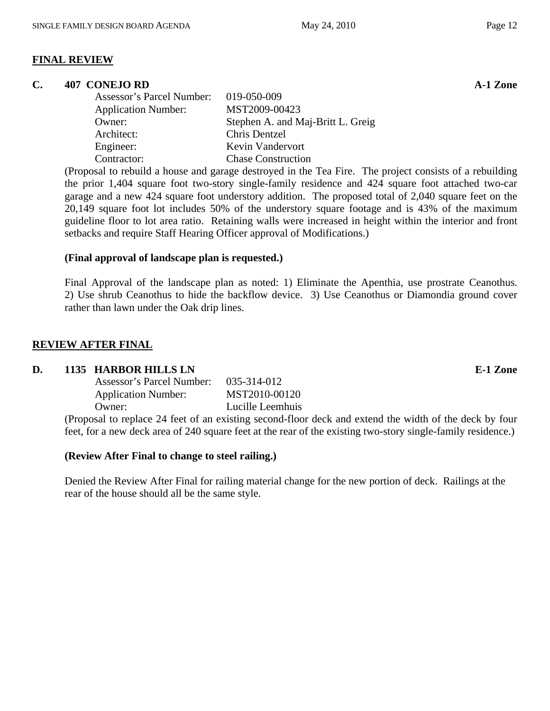### **FINAL REVIEW**

### **C. 407 CONEJO RD A-1 Zone**

| Assessor's Parcel Number:  | 019-050-009                       |
|----------------------------|-----------------------------------|
| <b>Application Number:</b> | MST2009-00423                     |
| Owner:                     | Stephen A. and Maj-Britt L. Greig |
| Architect:                 | Chris Dentzel                     |
| Engineer:                  | Kevin Vandervort                  |
| Contractor:                | <b>Chase Construction</b>         |

(Proposal to rebuild a house and garage destroyed in the Tea Fire. The project consists of a rebuilding the prior 1,404 square foot two-story single-family residence and 424 square foot attached two-car garage and a new 424 square foot understory addition. The proposed total of 2,040 square feet on the 20,149 square foot lot includes 50% of the understory square footage and is 43% of the maximum guideline floor to lot area ratio. Retaining walls were increased in height within the interior and front setbacks and require Staff Hearing Officer approval of Modifications.)

### **(Final approval of landscape plan is requested.)**

Final Approval of the landscape plan as noted: 1) Eliminate the Apenthia, use prostrate Ceanothus. 2) Use shrub Ceanothus to hide the backflow device. 3) Use Ceanothus or Diamondia ground cover rather than lawn under the Oak drip lines.

### **REVIEW AFTER FINAL**

### **D.** 1135 HARBOR HILLS LN **E-1** Zone

| Assessor's Parcel Number:  | 035-314-012      |
|----------------------------|------------------|
| <b>Application Number:</b> | MST2010-00120    |
| Owner:                     | Lucille Leemhuis |

(Proposal to replace 24 feet of an existing second-floor deck and extend the width of the deck by four feet, for a new deck area of 240 square feet at the rear of the existing two-story single-family residence.)

### **(Review After Final to change to steel railing.)**

Denied the Review After Final for railing material change for the new portion of deck. Railings at the rear of the house should all be the same style.